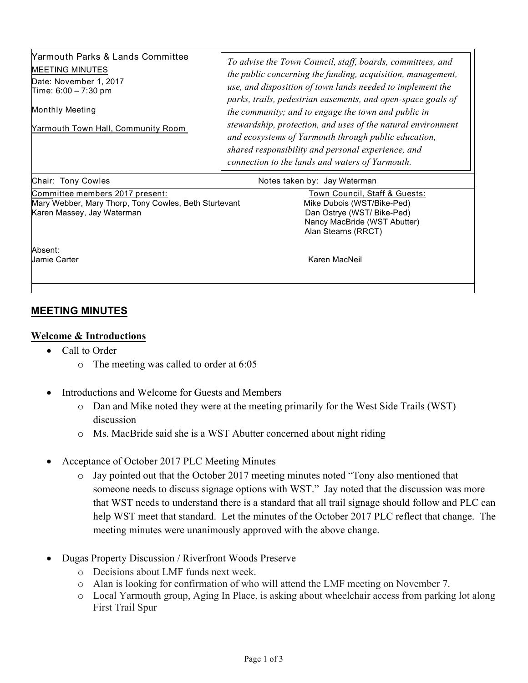| <b>Yarmouth Parks &amp; Lands Committee</b><br><b>MEETING MINUTES</b><br>Date: November 1, 2017<br>Time: $6:00 - 7:30$ pm<br><b>Monthly Meeting</b><br><b>Yarmouth Town Hall, Community Room</b> | To advise the Town Council, staff, boards, committees, and<br>the public concerning the funding, acquisition, management,<br>use, and disposition of town lands needed to implement the<br>parks, trails, pedestrian easements, and open-space goals of<br>the community; and to engage the town and public in<br>stewardship, protection, and uses of the natural environment<br>and ecosystems of Yarmouth through public education,<br>shared responsibility and personal experience, and<br>connection to the lands and waters of Yarmouth. |
|--------------------------------------------------------------------------------------------------------------------------------------------------------------------------------------------------|-------------------------------------------------------------------------------------------------------------------------------------------------------------------------------------------------------------------------------------------------------------------------------------------------------------------------------------------------------------------------------------------------------------------------------------------------------------------------------------------------------------------------------------------------|
| Chair: Tony Cowles                                                                                                                                                                               | Notes taken by: Jay Waterman                                                                                                                                                                                                                                                                                                                                                                                                                                                                                                                    |
| Committee members 2017 present:<br>Mary Webber, Mary Thorp, Tony Cowles, Beth Sturtevant<br>Karen Massey, Jay Waterman                                                                           | Town Council, Staff & Guests:<br>Mike Dubois (WST/Bike-Ped)<br>Dan Ostrye (WST/ Bike-Ped)                                                                                                                                                                                                                                                                                                                                                                                                                                                       |

Absent:

Jamie Carter Karen MacNeil

Alan Stearns (RRCT)

Nancy MacBride (WST Abutter)

## **MEETING MINUTES**

## **Welcome & Introductions**

- Call to Order
	- o The meeting was called to order at 6:05
- Introductions and Welcome for Guests and Members
	- o Dan and Mike noted they were at the meeting primarily for the West Side Trails (WST) discussion
	- o Ms. MacBride said she is a WST Abutter concerned about night riding
- Acceptance of October 2017 PLC Meeting Minutes
	- o Jay pointed out that the October 2017 meeting minutes noted "Tony also mentioned that someone needs to discuss signage options with WST." Jay noted that the discussion was more that WST needs to understand there is a standard that all trail signage should follow and PLC can help WST meet that standard. Let the minutes of the October 2017 PLC reflect that change. The meeting minutes were unanimously approved with the above change.
- Dugas Property Discussion / Riverfront Woods Preserve
	- o Decisions about LMF funds next week.
	- o Alan is looking for confirmation of who will attend the LMF meeting on November 7.
	- o Local Yarmouth group, Aging In Place, is asking about wheelchair access from parking lot along First Trail Spur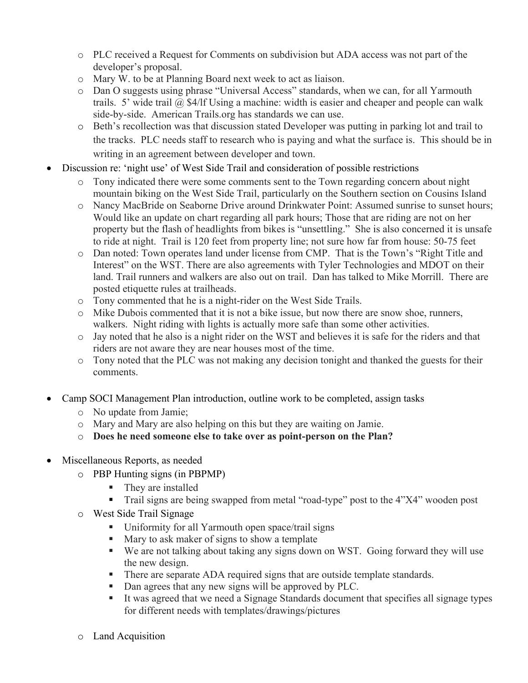- o PLC received a Request for Comments on subdivision but ADA access was not part of the developer's proposal.
- o Mary W. to be at Planning Board next week to act as liaison.
- o Dan O suggests using phrase "Universal Access" standards, when we can, for all Yarmouth trails. 5' wide trail  $\omega$ , \$4/lf Using a machine: width is easier and cheaper and people can walk side-by-side. American Trails.org has standards we can use.
- o Beth's recollection was that discussion stated Developer was putting in parking lot and trail to the tracks. PLC needs staff to research who is paying and what the surface is. This should be in writing in an agreement between developer and town.
- Discussion re: 'night use' of West Side Trail and consideration of possible restrictions
	- o Tony indicated there were some comments sent to the Town regarding concern about night mountain biking on the West Side Trail, particularly on the Southern section on Cousins Island
	- o Nancy MacBride on Seaborne Drive around Drinkwater Point: Assumed sunrise to sunset hours; Would like an update on chart regarding all park hours; Those that are riding are not on her property but the flash of headlights from bikes is "unsettling." She is also concerned it is unsafe to ride at night. Trail is 120 feet from property line; not sure how far from house: 50-75 feet
	- o Dan noted: Town operates land under license from CMP. That is the Town's "Right Title and Interest" on the WST. There are also agreements with Tyler Technologies and MDOT on their land. Trail runners and walkers are also out on trail. Dan has talked to Mike Morrill. There are posted etiquette rules at trailheads.
	- o Tony commented that he is a night-rider on the West Side Trails.
	- o Mike Dubois commented that it is not a bike issue, but now there are snow shoe, runners, walkers. Night riding with lights is actually more safe than some other activities.
	- o Jay noted that he also is a night rider on the WST and believes it is safe for the riders and that riders are not aware they are near houses most of the time.
	- o Tony noted that the PLC was not making any decision tonight and thanked the guests for their comments.
- Camp SOCI Management Plan introduction, outline work to be completed, assign tasks
	- o No update from Jamie;
	- o Mary and Mary are also helping on this but they are waiting on Jamie.
	- o **Does he need someone else to take over as point-person on the Plan?**
- Miscellaneous Reports, as needed
	- o PBP Hunting signs (in PBPMP)
		- They are installed
		- Trail signs are being swapped from metal "road-type" post to the 4"X4" wooden post
	- o West Side Trail Signage
		- Uniformity for all Yarmouth open space/trail signs
		- Mary to ask maker of signs to show a template
		- We are not talking about taking any signs down on WST. Going forward they will use the new design.
		- There are separate ADA required signs that are outside template standards.
		- Dan agrees that any new signs will be approved by PLC.
		- It was agreed that we need a Signage Standards document that specifies all signage types for different needs with templates/drawings/pictures
	- o Land Acquisition